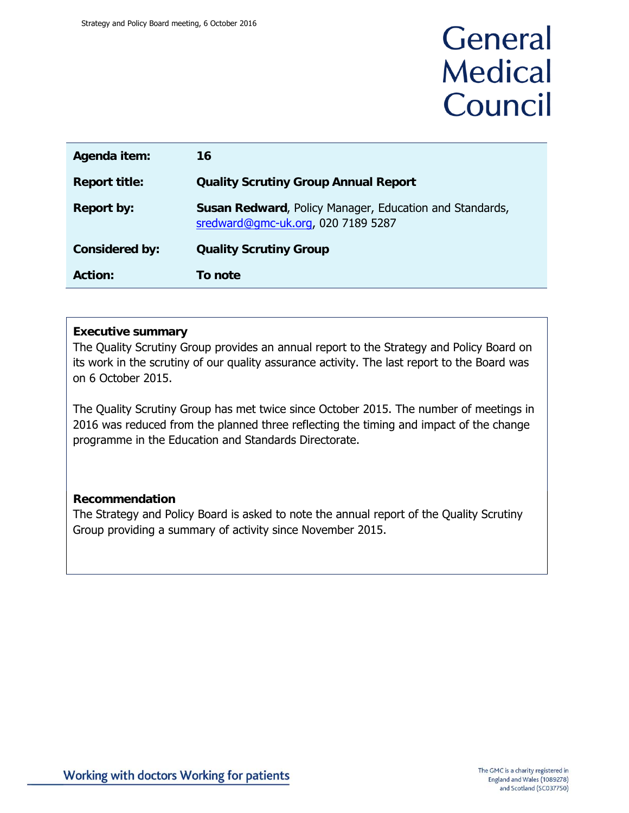# General **Medical** Council

| Agenda item:          | 16                                                                                            |
|-----------------------|-----------------------------------------------------------------------------------------------|
| <b>Report title:</b>  | <b>Quality Scrutiny Group Annual Report</b>                                                   |
| <b>Report by:</b>     | Susan Redward, Policy Manager, Education and Standards,<br>sredward@gmc-uk.org, 020 7189 5287 |
| <b>Considered by:</b> | <b>Quality Scrutiny Group</b>                                                                 |
| <b>Action:</b>        | To note                                                                                       |

#### **Executive summary**

The Quality Scrutiny Group provides an annual report to the Strategy and Policy Board on its work in the scrutiny of our quality assurance activity. The last report to the Board was on 6 October 2015.

The Quality Scrutiny Group has met twice since October 2015. The number of meetings in 2016 was reduced from the planned three reflecting the timing and impact of the change programme in the Education and Standards Directorate.

## **Recommendation**

The Strategy and Policy Board is asked to note the annual report of the Quality Scrutiny Group providing a summary of activity since November 2015.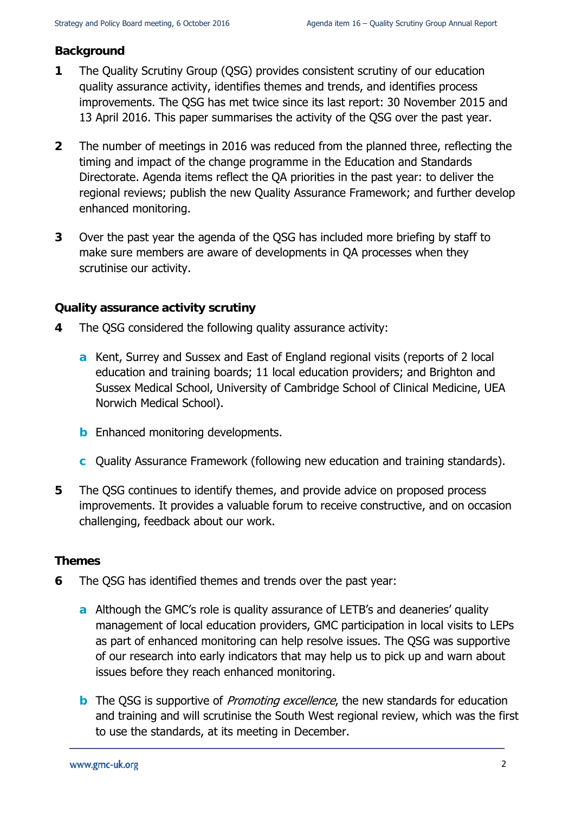## **Background**

- **1** The Quality Scrutiny Group (QSG) provides consistent scrutiny of our education quality assurance activity, identifies themes and trends, and identifies process improvements. The QSG has met twice since its last report: 30 November 2015 and 13 April 2016. This paper summarises the activity of the QSG over the past year.
- **2** The number of meetings in 2016 was reduced from the planned three, reflecting the timing and impact of the change programme in the Education and Standards Directorate. Agenda items reflect the QA priorities in the past year: to deliver the regional reviews; publish the new Quality Assurance Framework; and further develop enhanced monitoring.
- **3** Over the past year the agenda of the QSG has included more briefing by staff to make sure members are aware of developments in QA processes when they scrutinise our activity.

## **Quality assurance activity scrutiny**

- **4** The QSG considered the following quality assurance activity:
	- **a** Kent, Surrey and Sussex and East of England regional visits (reports of 2 local education and training boards; 11 local education providers; and Brighton and Sussex Medical School, University of Cambridge School of Clinical Medicine, UEA Norwich Medical School).
	- **b** Enhanced monitoring developments.
	- **c** Quality Assurance Framework (following new education and training standards).
- **5** The QSG continues to identify themes, and provide advice on proposed process improvements. It provides a valuable forum to receive constructive, and on occasion challenging, feedback about our work.

## **Themes**

- **6** The QSG has identified themes and trends over the past year:
	- **a** Although the GMC's role is quality assurance of LETB's and deaneries' quality management of local education providers, GMC participation in local visits to LEPs as part of enhanced monitoring can help resolve issues. The QSG was supportive of our research into early indicators that may help us to pick up and warn about issues before they reach enhanced monitoring.
	- **b** The QSG is supportive of *Promoting excellence*, the new standards for education and training and will scrutinise the South West regional review, which was the first to use the standards, at its meeting in December.